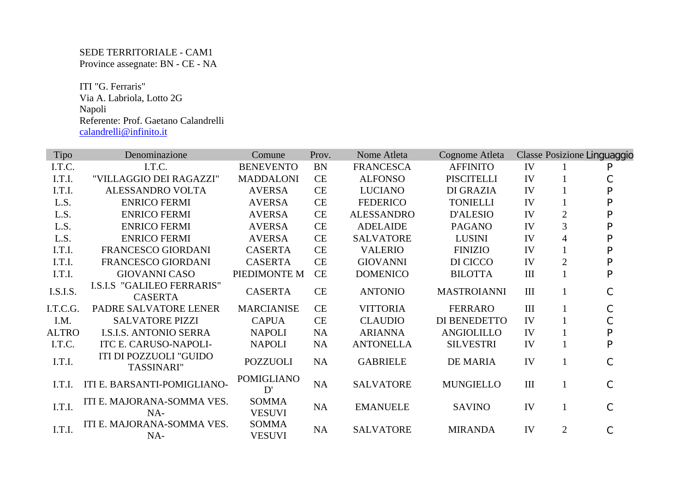SEDE TERRITORIALE - CAM1 Province assegnate: BN - CE - NA

 ITI "G. Ferraris" Via A. Labriola, Lotto 2G Napoli Referente: Prof. Gaetano Calandrelli calandrelli@infinito.it

| Tipo         | Denominazione                                       | Comune                        | Prov.     | Nome Atleta       | Cognome Atleta     |     |                | Classe Posizione Linguaggio |
|--------------|-----------------------------------------------------|-------------------------------|-----------|-------------------|--------------------|-----|----------------|-----------------------------|
| I.T.C.       | I.T.C.                                              | <b>BENEVENTO</b>              | <b>BN</b> | <b>FRANCESCA</b>  | <b>AFFINITO</b>    | IV  |                | P                           |
| I.T.I.       | "VILLAGGIO DEI RAGAZZI"                             | <b>MADDALONI</b>              | CE        | <b>ALFONSO</b>    | <b>PISCITELLI</b>  | IV  |                | C                           |
| I.T.I.       | ALESSANDRO VOLTA                                    | <b>AVERSA</b>                 | CE        | <b>LUCIANO</b>    | DI GRAZIA          | IV  |                | P                           |
| L.S.         | <b>ENRICO FERMI</b>                                 | <b>AVERSA</b>                 | CE        | <b>FEDERICO</b>   | <b>TONIELLI</b>    | IV  |                | P                           |
| L.S.         | <b>ENRICO FERMI</b>                                 | <b>AVERSA</b>                 | CE        | <b>ALESSANDRO</b> | <b>D'ALESIO</b>    | IV  | $\overline{2}$ | P                           |
| L.S.         | <b>ENRICO FERMI</b>                                 | <b>AVERSA</b>                 | CE        | <b>ADELAIDE</b>   | <b>PAGANO</b>      | IV  | 3              | P                           |
| L.S.         | <b>ENRICO FERMI</b>                                 | <b>AVERSA</b>                 | CE        | <b>SALVATORE</b>  | <b>LUSINI</b>      | IV  | 4              | P                           |
| I.T.I.       | FRANCESCO GIORDANI                                  | <b>CASERTA</b>                | CE        | <b>VALERIO</b>    | <b>FINIZIO</b>     | IV  |                | P                           |
| I.T.I.       | FRANCESCO GIORDANI                                  | <b>CASERTA</b>                | <b>CE</b> | <b>GIOVANNI</b>   | DI CICCO           | IV  | $\overline{2}$ | P                           |
| I.T.I.       | <b>GIOVANNI CASO</b>                                | PIEDIMONTE M                  | CE        | <b>DOMENICO</b>   | <b>BILOTTA</b>     | III |                | P                           |
| I.S.I.S.     | <b>I.S.I.S "GALILEO FERRARIS"</b><br><b>CASERTA</b> | <b>CASERTA</b>                | CE        | <b>ANTONIO</b>    | <b>MASTROIANNI</b> | III |                | C                           |
| I.T.C.G.     | PADRE SALVATORE LENER                               | <b>MARCIANISE</b>             | CE        | <b>VITTORIA</b>   | <b>FERRARO</b>     | III |                | C                           |
| I.M.         | <b>SALVATORE PIZZI</b>                              | <b>CAPUA</b>                  | CE        | <b>CLAUDIO</b>    | DI BENEDETTO       | IV  |                | C                           |
| <b>ALTRO</b> | <b>I.S.I.S. ANTONIO SERRA</b>                       | <b>NAPOLI</b>                 | <b>NA</b> | <b>ARIANNA</b>    | ANGIOLILLO         | IV  |                | P                           |
| I.T.C.       | ITC E. CARUSO-NAPOLI-                               | <b>NAPOLI</b>                 | <b>NA</b> | <b>ANTONELLA</b>  | <b>SILVESTRI</b>   | IV  |                | P                           |
| I.T.I.       | ITI DI POZZUOLI "GUIDO<br><b>TASSINARI"</b>         | <b>POZZUOLI</b>               | <b>NA</b> | <b>GABRIELE</b>   | <b>DE MARIA</b>    | IV  |                | $\mathsf{C}$                |
| I.T.I.       | ITI E. BARSANTI-POMIGLIANO-                         | <b>POMIGLIANO</b><br>D'       | NA        | <b>SALVATORE</b>  | <b>MUNGIELLO</b>   | III |                | $\mathcal{C}$               |
| I.T.I.       | ITI E. MAJORANA-SOMMA VES.<br>NA-                   | <b>SOMMA</b><br><b>VESUVI</b> | NA        | <b>EMANUELE</b>   | <b>SAVINO</b>      | IV  | 1              | $\mathcal{C}$               |
| I.T.I.       | ITI E. MAJORANA-SOMMA VES.<br>NA-                   | <b>SOMMA</b><br><b>VESUVI</b> | <b>NA</b> | <b>SALVATORE</b>  | <b>MIRANDA</b>     | IV  | $\overline{2}$ | C                           |